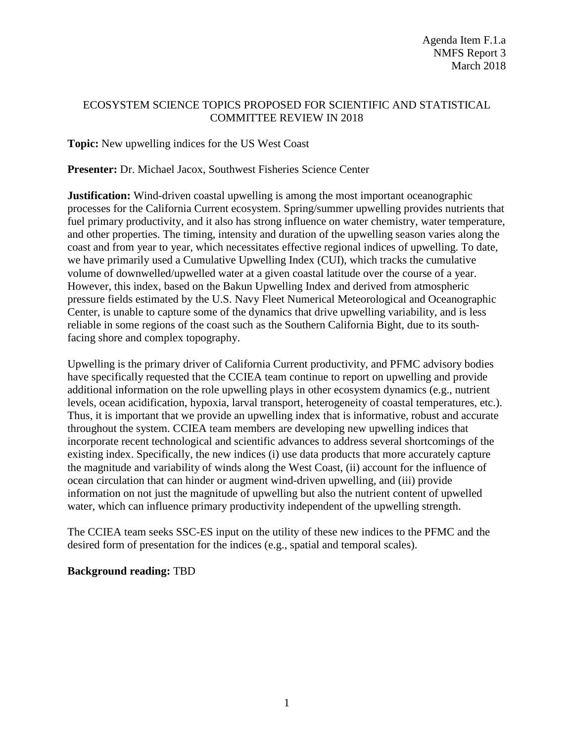# ECOSYSTEM SCIENCE TOPICS PROPOSED FOR SCIENTIFIC AND STATISTICAL COMMITTEE REVIEW IN 2018

**Topic:** New upwelling indices for the US West Coast

**Presenter:** Dr. Michael Jacox, Southwest Fisheries Science Center

**Justification:** Wind-driven coastal upwelling is among the most important oceanographic processes for the California Current ecosystem. Spring/summer upwelling provides nutrients that fuel primary productivity, and it also has strong influence on water chemistry, water temperature, and other properties. The timing, intensity and duration of the upwelling season varies along the coast and from year to year, which necessitates effective regional indices of upwelling. To date, we have primarily used a Cumulative Upwelling Index (CUI), which tracks the cumulative volume of downwelled/upwelled water at a given coastal latitude over the course of a year. However, this index, based on the Bakun Upwelling Index and derived from atmospheric pressure fields estimated by the U.S. Navy Fleet Numerical Meteorological and Oceanographic Center, is unable to capture some of the dynamics that drive upwelling variability, and is less reliable in some regions of the coast such as the Southern California Bight, due to its southfacing shore and complex topography.

Upwelling is the primary driver of California Current productivity, and PFMC advisory bodies have specifically requested that the CCIEA team continue to report on upwelling and provide additional information on the role upwelling plays in other ecosystem dynamics (e.g., nutrient levels, ocean acidification, hypoxia, larval transport, heterogeneity of coastal temperatures, etc.). Thus, it is important that we provide an upwelling index that is informative, robust and accurate throughout the system. CCIEA team members are developing new upwelling indices that incorporate recent technological and scientific advances to address several shortcomings of the existing index. Specifically, the new indices (i) use data products that more accurately capture the magnitude and variability of winds along the West Coast, (ii) account for the influence of ocean circulation that can hinder or augment wind-driven upwelling, and (iii) provide information on not just the magnitude of upwelling but also the nutrient content of upwelled water, which can influence primary productivity independent of the upwelling strength.

The CCIEA team seeks SSC-ES input on the utility of these new indices to the PFMC and the desired form of presentation for the indices (e.g., spatial and temporal scales).

### **Background reading:** TBD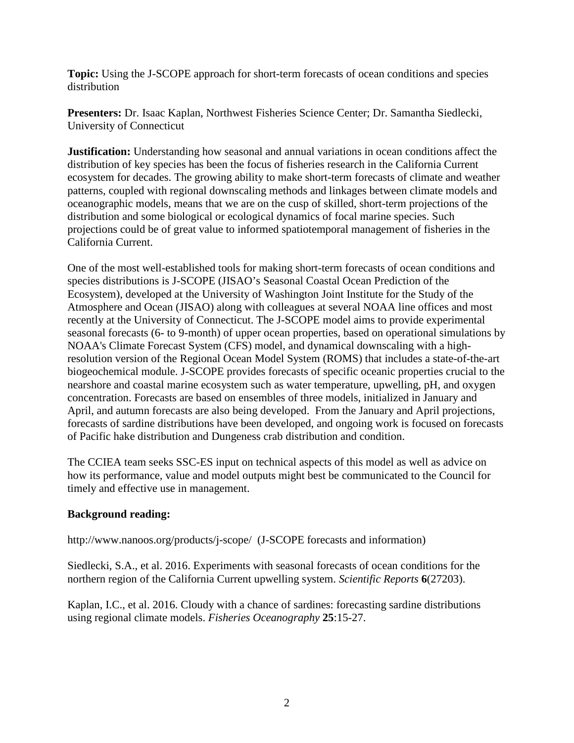**Topic:** Using the J-SCOPE approach for short-term forecasts of ocean conditions and species distribution

**Presenters:** Dr. Isaac Kaplan, Northwest Fisheries Science Center; Dr. Samantha Siedlecki, University of Connecticut

**Justification:** Understanding how seasonal and annual variations in ocean conditions affect the distribution of key species has been the focus of fisheries research in the California Current ecosystem for decades. The growing ability to make short-term forecasts of climate and weather patterns, coupled with regional downscaling methods and linkages between climate models and oceanographic models, means that we are on the cusp of skilled, short-term projections of the distribution and some biological or ecological dynamics of focal marine species. Such projections could be of great value to informed spatiotemporal management of fisheries in the California Current.

One of the most well-established tools for making short-term forecasts of ocean conditions and species distributions is J-SCOPE (JISAO's Seasonal Coastal Ocean Prediction of the Ecosystem), developed at the University of Washington Joint Institute for the Study of the Atmosphere and Ocean (JISAO) along with colleagues at several NOAA line offices and most recently at the University of Connecticut. The J-SCOPE model aims to provide experimental seasonal forecasts (6- to 9-month) of upper ocean properties, based on operational simulations by NOAA's Climate Forecast System (CFS) model, and dynamical downscaling with a highresolution version of the Regional Ocean Model System (ROMS) that includes a state-of-the-art biogeochemical module. J-SCOPE provides forecasts of specific oceanic properties crucial to the nearshore and coastal marine ecosystem such as water temperature, upwelling, pH, and oxygen concentration. Forecasts are based on ensembles of three models, initialized in January and April, and autumn forecasts are also being developed. From the January and April projections, forecasts of sardine distributions have been developed, and ongoing work is focused on forecasts of Pacific hake distribution and Dungeness crab distribution and condition.

The CCIEA team seeks SSC-ES input on technical aspects of this model as well as advice on how its performance, value and model outputs might best be communicated to the Council for timely and effective use in management.

## **Background reading:**

<http://www.nanoos.org/products/j-scope/>(J-SCOPE forecasts and information)

Siedlecki, S.A., et al. 2016. Experiments with seasonal forecasts of ocean conditions for the northern region of the California Current upwelling system. *Scientific Reports* **6**(27203).

Kaplan, I.C., et al. 2016. Cloudy with a chance of sardines: forecasting sardine distributions using regional climate models. *Fisheries Oceanography* **25**:15-27.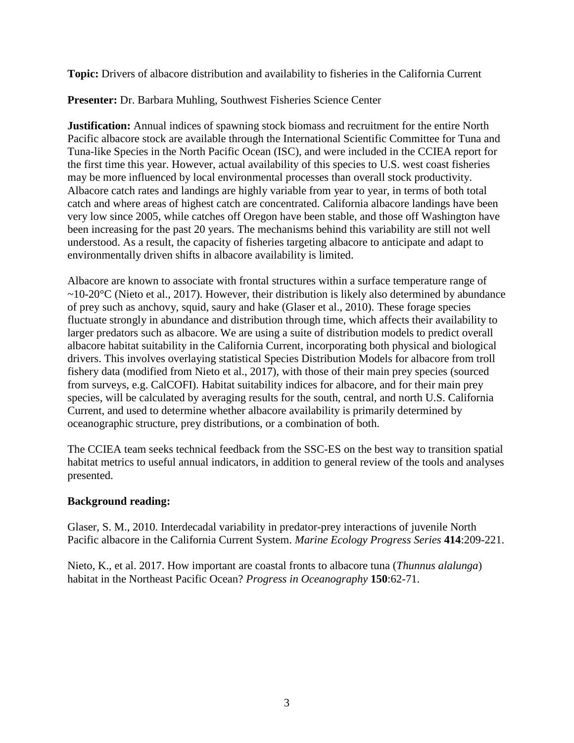**Topic:** Drivers of albacore distribution and availability to fisheries in the California Current

**Presenter:** Dr. Barbara Muhling, Southwest Fisheries Science Center

**Justification:** Annual indices of spawning stock biomass and recruitment for the entire North Pacific albacore stock are available through the International Scientific Committee for Tuna and Tuna-like Species in the North Pacific Ocean (ISC), and were included in the CCIEA report for the first time this year. However, actual availability of this species to U.S. west coast fisheries may be more influenced by local environmental processes than overall stock productivity. Albacore catch rates and landings are highly variable from year to year, in terms of both total catch and where areas of highest catch are concentrated. California albacore landings have been very low since 2005, while catches off Oregon have been stable, and those off Washington have been increasing for the past 20 years. The mechanisms behind this variability are still not well understood. As a result, the capacity of fisheries targeting albacore to anticipate and adapt to environmentally driven shifts in albacore availability is limited.

Albacore are known to associate with frontal structures within a surface temperature range of  $\sim$ 10-20 $\degree$ C (Nieto et al., 2017). However, their distribution is likely also determined by abundance of prey such as anchovy, squid, saury and hake (Glaser et al., 2010). These forage species fluctuate strongly in abundance and distribution through time, which affects their availability to larger predators such as albacore. We are using a suite of distribution models to predict overall albacore habitat suitability in the California Current, incorporating both physical and biological drivers. This involves overlaying statistical Species Distribution Models for albacore from troll fishery data (modified from Nieto et al., 2017), with those of their main prey species (sourced from surveys, e.g. CalCOFI). Habitat suitability indices for albacore, and for their main prey species, will be calculated by averaging results for the south, central, and north U.S. California Current, and used to determine whether albacore availability is primarily determined by oceanographic structure, prey distributions, or a combination of both.

The CCIEA team seeks technical feedback from the SSC-ES on the best way to transition spatial habitat metrics to useful annual indicators, in addition to general review of the tools and analyses presented.

## **Background reading:**

Glaser, S. M., 2010. Interdecadal variability in predator-prey interactions of juvenile North Pacific albacore in the California Current System. *Marine Ecology Progress Series* **414**:209-221.

Nieto, K., et al. 2017. How important are coastal fronts to albacore tuna (*Thunnus alalunga*) habitat in the Northeast Pacific Ocean? *Progress in Oceanography* **150**:62-71.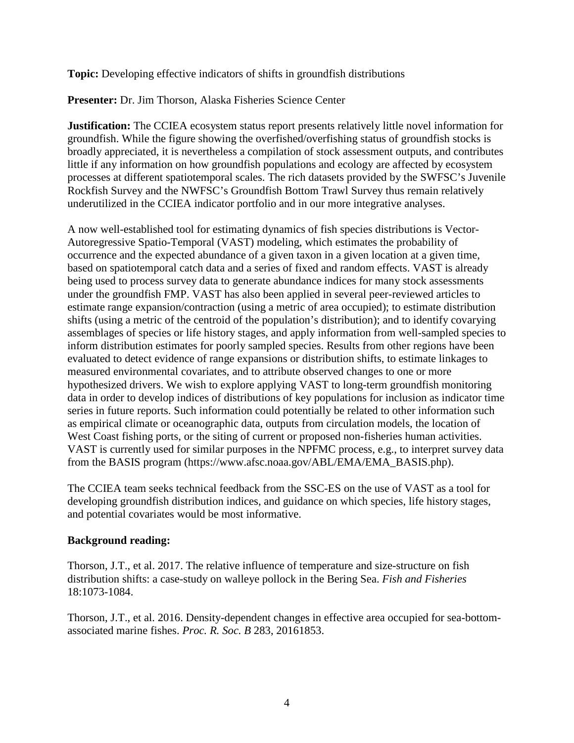**Topic:** Developing effective indicators of shifts in groundfish distributions

**Presenter:** Dr. Jim Thorson, Alaska Fisheries Science Center

**Justification:** The CCIEA ecosystem status report presents relatively little novel information for groundfish. While the figure showing the overfished/overfishing status of groundfish stocks is broadly appreciated, it is nevertheless a compilation of stock assessment outputs, and contributes little if any information on how groundfish populations and ecology are affected by ecosystem processes at different spatiotemporal scales. The rich datasets provided by the SWFSC's Juvenile Rockfish Survey and the NWFSC's Groundfish Bottom Trawl Survey thus remain relatively underutilized in the CCIEA indicator portfolio and in our more integrative analyses.

A now well-established tool for estimating dynamics of fish species distributions is Vector-Autoregressive Spatio-Temporal (VAST) modeling, which estimates the probability of occurrence and the expected abundance of a given taxon in a given location at a given time, based on spatiotemporal catch data and a series of fixed and random effects. VAST is already being used to process survey data to generate abundance indices for many stock assessments under the groundfish FMP. VAST has also been applied in several peer-reviewed articles to estimate range expansion/contraction (using a metric of area occupied); to estimate distribution shifts (using a metric of the centroid of the population's distribution); and to identify covarying assemblages of species or life history stages, and apply information from well-sampled species to inform distribution estimates for poorly sampled species. Results from other regions have been evaluated to detect evidence of range expansions or distribution shifts, to estimate linkages to measured environmental covariates, and to attribute observed changes to one or more hypothesized drivers. We wish to explore applying VAST to long-term groundfish monitoring data in order to develop indices of distributions of key populations for inclusion as indicator time series in future reports. Such information could potentially be related to other information such as empirical climate or oceanographic data, outputs from circulation models, the location of West Coast fishing ports, or the siting of current or proposed non-fisheries human activities. VAST is currently used for similar purposes in the NPFMC process, e.g., to interpret survey data from the BASIS program (https://www.afsc.noaa.gov/ABL/EMA/EMA\_BASIS.php).

The CCIEA team seeks technical feedback from the SSC-ES on the use of VAST as a tool for developing groundfish distribution indices, and guidance on which species, life history stages, and potential covariates would be most informative.

## **Background reading:**

Thorson, J.T., et al. 2017. The relative influence of temperature and size-structure on fish distribution shifts: a case-study on walleye pollock in the Bering Sea. *Fish and Fisheries* 18:1073-1084.

Thorson, J.T., et al. 2016. Density-dependent changes in effective area occupied for sea-bottomassociated marine fishes. *Proc. R. Soc. B* 283, 20161853.